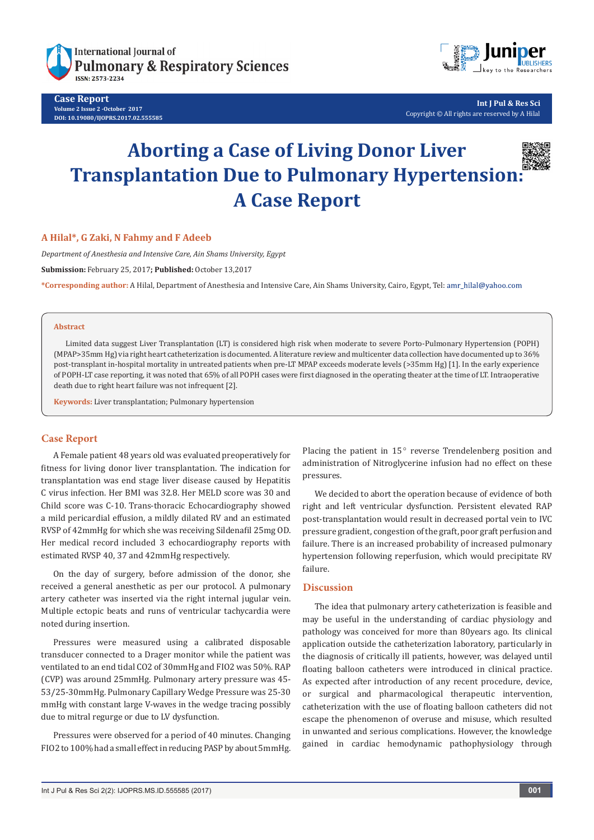

**Case Report Volume 2 Issue 2 -October 2017 DOI: 10.19080/IJOPRS.2017.02.555585**



**Int J Pul & Res Sci** Copyright © All rights are reserved by A Hilal

# **Aborting a Case of Living Donor Liver Transplantation Due to Pulmonary Hypertension: A Case Report**



### **A Hilal\*, G Zaki, N Fahmy and F Adeeb**

*Department of Anesthesia and Intensive Care, Ain Shams University, Egypt*

**Submission:** February 25, 2017**; Published:** October 13,2017

**\*Corresponding author:** A Hilal, Department of Anesthesia and Intensive Care, Ain Shams University, Cairo, Egypt, Tel:

#### **Abstract**

Limited data suggest Liver Transplantation (LT) is considered high risk when moderate to severe Porto-Pulmonary Hypertension (POPH) (MPAP>35mm Hg) via right heart catheterization is documented. A literature review and multicenter data collection have documented up to 36% post-transplant in-hospital mortality in untreated patients when pre-LT MPAP exceeds moderate levels (>35mm Hg) [1]. In the early experience of POPH-LT case reporting, it was noted that 65% of all POPH cases were first diagnosed in the operating theater at the time of LT. Intraoperative death due to right heart failure was not infrequent [2].

**Keywords:** Liver transplantation; Pulmonary hypertension

#### **Case Report**

A Female patient 48 years old was evaluated preoperatively for fitness for living donor liver transplantation. The indication for transplantation was end stage liver disease caused by Hepatitis C virus infection. Her BMI was 32.8. Her MELD score was 30 and Child score was C-10. Trans-thoracic Echocardiography showed a mild pericardial effusion, a mildly dilated RV and an estimated RVSP of 42mmHg for which she was receiving Sildenafil 25mg OD. Her medical record included 3 echocardiography reports with estimated RVSP 40, 37 and 42mmHg respectively.

On the day of surgery, before admission of the donor, she received a general anesthetic as per our protocol. A pulmonary artery catheter was inserted via the right internal jugular vein. Multiple ectopic beats and runs of ventricular tachycardia were noted during insertion.

Pressures were measured using a calibrated disposable transducer connected to a Drager monitor while the patient was ventilated to an end tidal CO2 of 30mmHg and FIO2 was 50%. RAP (CVP) was around 25mmHg. Pulmonary artery pressure was 45- 53/25-30mmHg. Pulmonary Capillary Wedge Pressure was 25-30 mmHg with constant large V-waves in the wedge tracing possibly due to mitral regurge or due to LV dysfunction.

Pressures were observed for a period of 40 minutes. Changing FIO2 to 100% had a small effect in reducing PASP by about 5mmHg.

Placing the patient in  $15^\circ$  reverse Trendelenberg position and administration of Nitroglycerine infusion had no effect on these pressures.

We decided to abort the operation because of evidence of both right and left ventricular dysfunction. Persistent elevated RAP post-transplantation would result in decreased portal vein to IVC pressure gradient, congestion of the graft, poor graft perfusion and failure. There is an increased probability of increased pulmonary hypertension following reperfusion, which would precipitate RV failure.

# **Discussion**

The idea that pulmonary artery catheterization is feasible and may be useful in the understanding of cardiac physiology and pathology was conceived for more than 80years ago. Its clinical application outside the catheterization laboratory, particularly in the diagnosis of critically ill patients, however, was delayed until floating balloon catheters were introduced in clinical practice. As expected after introduction of any recent procedure, device, or surgical and pharmacological therapeutic intervention, catheterization with the use of floating balloon catheters did not escape the phenomenon of overuse and misuse, which resulted in unwanted and serious complications. However, the knowledge gained in cardiac hemodynamic pathophysiology through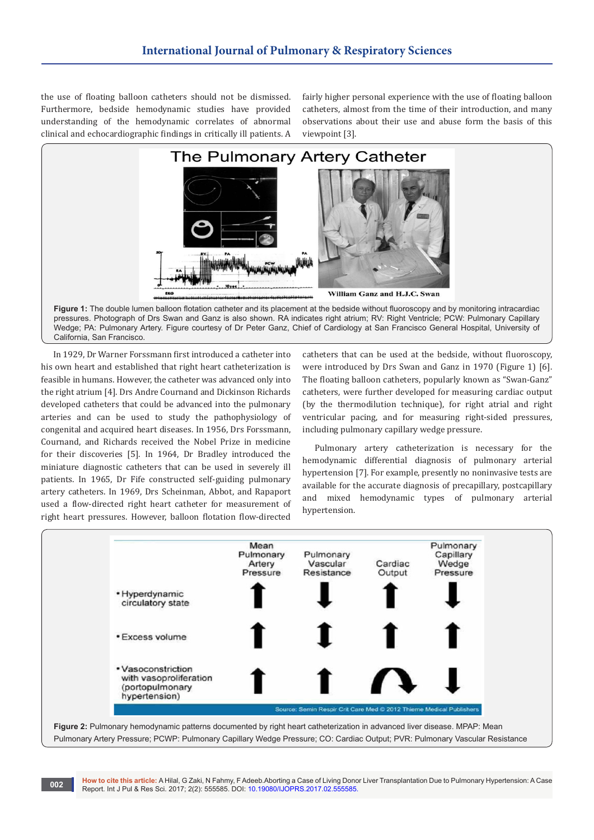the use of floating balloon catheters should not be dismissed. Furthermore, bedside hemodynamic studies have provided understanding of the hemodynamic correlates of abnormal clinical and echocardiographic findings in critically ill patients. A fairly higher personal experience with the use of floating balloon catheters, almost from the time of their introduction, and many observations about their use and abuse form the basis of this viewpoint [3].



California, San Francisco.

In 1929, Dr Warner Forssmann first introduced a catheter into his own heart and established that right heart catheterization is feasible in humans. However, the catheter was advanced only into the right atrium [4]. Drs Andre Cournand and Dickinson Richards developed catheters that could be advanced into the pulmonary arteries and can be used to study the pathophysiology of congenital and acquired heart diseases. In 1956, Drs Forssmann, Cournand, and Richards received the Nobel Prize in medicine for their discoveries [5]. In 1964, Dr Bradley introduced the miniature diagnostic catheters that can be used in severely ill patients. In 1965, Dr Fife constructed self-guiding pulmonary artery catheters. In 1969, Drs Scheinman, Abbot, and Rapaport used a flow-directed right heart catheter for measurement of right heart pressures. However, balloon flotation flow-directed

catheters that can be used at the bedside, without fluoroscopy, were introduced by Drs Swan and Ganz in 1970 (Figure 1) [6]. The floating balloon catheters, popularly known as "Swan-Ganz" catheters, were further developed for measuring cardiac output (by the thermodilution technique), for right atrial and right ventricular pacing, and for measuring right-sided pressures, including pulmonary capillary wedge pressure.

Pulmonary artery catheterization is necessary for the hemodynamic differential diagnosis of pulmonary arterial hypertension [7]. For example, presently no noninvasive tests are available for the accurate diagnosis of precapillary, postcapillary and mixed hemodynamic types of pulmonary arterial hypertension.





**How to cite this article:** A Hilal, G Zaki, N Fahmy, F Adeeb.Aborting a Case of Living Donor Liver Transplantation Due to Pulmonary Hypertension: A Case Report. Int J Pul & Res Sci. 2017; 2(2): 555585. DOI: 10.19080/IJOPRS.2017.02.555585. **<sup>002</sup>**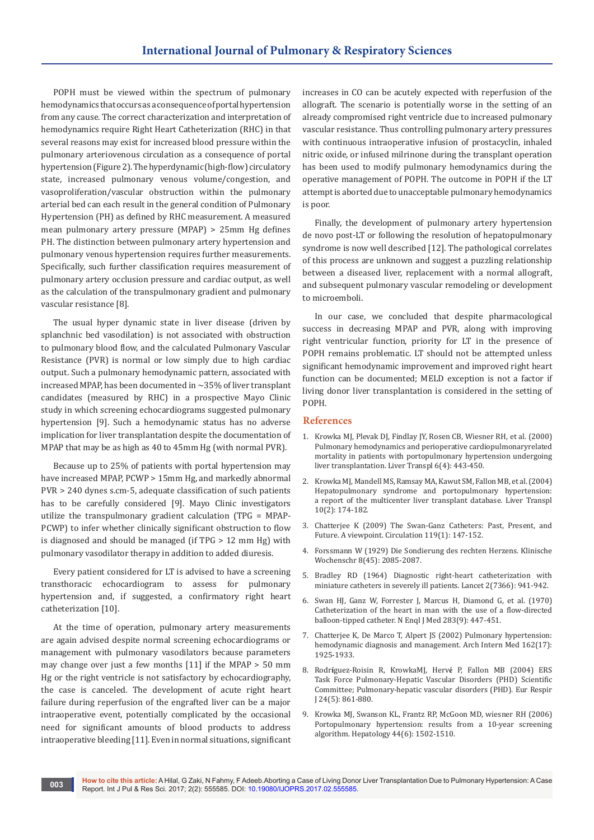POPH must be viewed within the spectrum of pulmonary hemodynamics that occurs as a consequence of portal hypertension from any cause. The correct characterization and interpretation of hemodynamics require Right Heart Catheterization (RHC) in that several reasons may exist for increased blood pressure within the pulmonary arteriovenous circulation as a consequence of portal hypertension (Figure 2). The hyperdynamic (high-flow) circulatory state, increased pulmonary venous volume/congestion, and vasoproliferation/vascular obstruction within the pulmonary arterial bed can each result in the general condition of Pulmonary Hypertension (PH) as defined by RHC measurement. A measured mean pulmonary artery pressure (MPAP) > 25mm Hg defines PH. The distinction between pulmonary artery hypertension and pulmonary venous hypertension requires further measurements. Specifically, such further classification requires measurement of pulmonary artery occlusion pressure and cardiac output, as well as the calculation of the transpulmonary gradient and pulmonary vascular resistance [8].

The usual hyper dynamic state in liver disease (driven by splanchnic bed vasodilation) is not associated with obstruction to pulmonary blood flow, and the calculated Pulmonary Vascular Resistance (PVR) is normal or low simply due to high cardiac output. Such a pulmonary hemodynamic pattern, associated with increased MPAP, has been documented in ~35% of liver transplant candidates (measured by RHC) in a prospective Mayo Clinic study in which screening echocardiograms suggested pulmonary hypertension [9]. Such a hemodynamic status has no adverse implication for liver transplantation despite the documentation of MPAP that may be as high as 40 to 45mm Hg (with normal PVR).

Because up to 25% of patients with portal hypertension may have increased MPAP, PCWP > 15mm Hg, and markedly abnormal PVR > 240 dynes s.cm-5, adequate classification of such patients has to be carefully considered [9]. Mayo Clinic investigators utilize the transpulmonary gradient calculation (TPG = MPAP-PCWP) to infer whether clinically significant obstruction to flow is diagnosed and should be managed (if TPG > 12 mm Hg) with pulmonary vasodilator therapy in addition to added diuresis.

Every patient considered for LT is advised to have a screening transthoracic echocardiogram to assess for pulmonary hypertension and, if suggested, a confirmatory right heart catheterization [10].

At the time of operation, pulmonary artery measurements are again advised despite normal screening echocardiograms or management with pulmonary vasodilators because parameters may change over just a few months [11] if the MPAP > 50 mm Hg or the right ventricle is not satisfactory by echocardiography, the case is canceled. The development of acute right heart failure during reperfusion of the engrafted liver can be a major intraoperative event, potentially complicated by the occasional need for significant amounts of blood products to address intraoperative bleeding [11]. Even in normal situations, significant increases in CO can be acutely expected with reperfusion of the allograft. The scenario is potentially worse in the setting of an already compromised right ventricle due to increased pulmonary vascular resistance. Thus controlling pulmonary artery pressures with continuous intraoperative infusion of prostacyclin, inhaled nitric oxide, or infused milrinone during the transplant operation has been used to modify pulmonary hemodynamics during the operative management of POPH. The outcome in POPH if the LT attempt is aborted due to unacceptable pulmonary hemodynamics is poor.

Finally, the development of pulmonary artery hypertension de novo post-LT or following the resolution of hepatopulmonary syndrome is now well described [12]. The pathological correlates of this process are unknown and suggest a puzzling relationship between a diseased liver, replacement with a normal allograft, and subsequent pulmonary vascular remodeling or development to microemboli.

In our case, we concluded that despite pharmacological success in decreasing MPAP and PVR, along with improving right ventricular function, priority for LT in the presence of POPH remains problematic. LT should not be attempted unless significant hemodynamic improvement and improved right heart function can be documented; MELD exception is not a factor if living donor liver transplantation is considered in the setting of POPH.

# **References**

- 1. Krowka MJ, Plevak DJ, Findlay JY, Rosen CB, Wiesner RH, et al. (2000) Pulmonary hemodynamics and perioperative cardiopulmonaryrelated mortality in patients with portopulmonary hypertension undergoing liver transplantation. Liver Transpl 6(4): 443-450.
- 2. Krowka MJ, Mandell MS, Ramsay MA, Kawut SM, Fallon MB, et al. (2004) Hepatopulmonary syndrome and portopulmonary hypertension: a report of the multicenter liver transplant database. Liver Transpl 10(2): 174-182.
- 3. Chatterjee K (2009) The Swan-Ganz Catheters: Past, Present, and Future. A viewpoint. Circulation 119(1): 147-152.
- 4. Forssmann W (1929) Die Sondierung des rechten Herzens. Klinische Wochenschr 8(45): 2085-2087.
- 5. Bradley RD (1964) Diagnostic right-heart catheterization with miniature catheters in severely ill patients. Lancet 2(7366): 941-942.
- 6. Swan HJ, Ganz W, Forrester J, Marcus H, Diamond G, et al. (1970) Catheterization of the heart in man with the use of a flow-directed balloon-tipped catheter. N Enql J Med 283(9): 447-451.
- 7. Chatterjee K, De Marco T, Alpert JS (2002) Pulmonary hypertension: hemodynamic diagnosis and management. Arch Intern Med 162(17): 1925-1933.
- 8. Rodr**í**guez-Roisin R, KrowkaMJ, Herv**é** P, Fallon MB (2004) ERS Task Force Pulmonary-Hepatic Vascular Disorders (PHD) Scientific Committee; Pulmonary-hepatic vascular disorders (PHD). Eur Respir J 24(5): 861-880.
- 9. Krowka MJ, Swanson KL, Frantz RP, McGoon MD, wiesner RH (2006) Portopulmonary hypertension: results from a 10-year screening algorithm. Hepatology 44(6): 1502-1510.